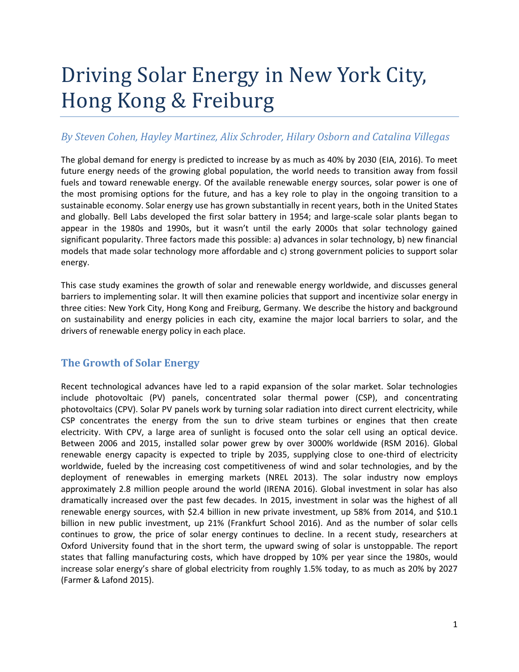# Driving Solar Energy in New York City, Hong Kong & Freiburg

# *By Steven Cohen, Hayley Martinez, Alix Schroder, Hilary Osborn and Catalina Villegas*

The global demand for energy is predicted to increase by as much as 40% by 2030 (EIA, 2016). To meet future energy needs of the growing global population, the world needs to transition away from fossil fuels and toward renewable energy. Of the available renewable energy sources, solar power is one of the most promising options for the future, and has a key role to play in the ongoing transition to a sustainable economy. Solar energy use has grown substantially in recent years, both in the United States and globally. Bell Labs developed the first solar battery in 1954; and large-scale solar plants began to appear in the 1980s and 1990s, but it wasn't until the early 2000s that solar technology gained significant popularity. Three factors made this possible: a) advances in solar technology, b) new financial models that made solar technology more affordable and c) strong government policies to support solar energy.

This case study examines the growth of solar and renewable energy worldwide, and discusses general barriers to implementing solar. It will then examine policies that support and incentivize solar energy in three cities: New York City, Hong Kong and Freiburg, Germany. We describe the history and background on sustainability and energy policies in each city, examine the major local barriers to solar, and the drivers of renewable energy policy in each place.

# **The Growth of Solar Energy**

Recent technological advances have led to a rapid expansion of the solar market. Solar technologies include photovoltaic (PV) panels, concentrated solar thermal power (CSP), and concentrating photovoltaics (CPV). Solar PV panels work by turning solar radiation into direct current electricity, while CSP concentrates the energy from the sun to drive steam turbines or engines that then create electricity. With CPV, a large area of sunlight is focused onto the solar cell using an optical device. Between 2006 and 2015, installed solar power grew by over 3000% worldwide (RSM 2016). Global renewable energy capacity is expected to triple by 2035, supplying close to one-third of electricity worldwide, fueled by the increasing cost competitiveness of wind and solar technologies, and by the deployment of renewables in emerging markets (NREL 2013). The solar industry now employs approximately 2.8 million people around the world (IRENA 2016). Global investment in solar has also dramatically increased over the past few decades. In 2015, investment in solar was the highest of all renewable energy sources, with \$2.4 billion in new private investment, up 58% from 2014, and \$10.1 billion in new public investment, up 21% (Frankfurt School 2016). And as the number of solar cells continues to grow, the price of solar energy continues to decline. In a recent study, researchers at Oxford University found that in the short term, the upward swing of solar is unstoppable. The report states that falling manufacturing costs, which have dropped by 10% per year since the 1980s, would increase solar energy's share of global electricity from roughly 1.5% today, to as much as 20% by 2027 (Farmer & Lafond 2015).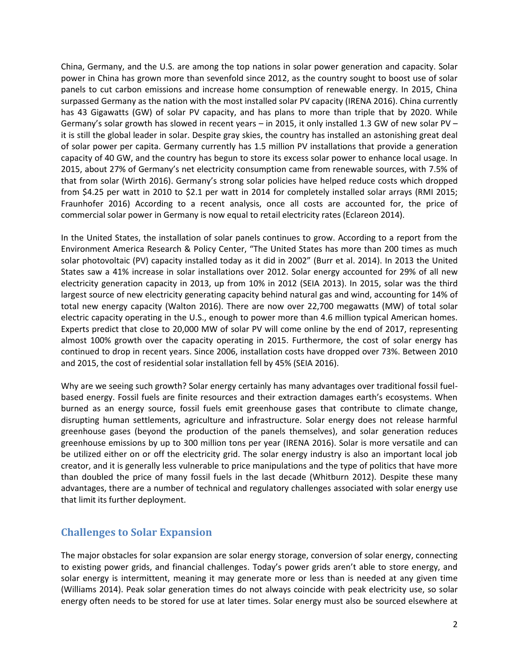China, Germany, and the U.S. are among the top nations in solar power generation and capacity. Solar power in China has grown more than sevenfold since 2012, as the country sought to boost use of solar panels to cut carbon emissions and increase home consumption of renewable energy. In 2015, China surpassed Germany as the nation with the most installed solar PV capacity (IRENA 2016). China currently has 43 Gigawatts (GW) of solar PV capacity, and has plans to more than triple that by 2020. While Germany's solar growth has slowed in recent years – in 2015, it only installed 1.3 GW of new solar PV – it is still the global leader in solar. Despite gray skies, the country has installed an astonishing great deal of solar power per capita. Germany currently has 1.5 million PV installations that provide a generation capacity of 40 GW, and the country has begun to store its excess solar power to enhance local usage. In 2015, about 27% of Germany's net electricity consumption came from renewable sources, with 7.5% of that from solar (Wirth 2016). Germany's strong solar policies have helped reduce costs which dropped from \$4.25 per watt in 2010 to \$2.1 per watt in 2014 for completely installed solar arrays (RMI 2015; Fraunhofer 2016) According to a recent analysis, once all costs are accounted for, the price of commercial solar power in Germany is now equal to retail electricity rates (Eclareon 2014).

In the United States, the installation of solar panels continues to grow. According to a report from the Environment America Research & Policy Center, "The United States has more than 200 times as much solar photovoltaic (PV) capacity installed today as it did in 2002" (Burr et al. 2014). In 2013 the United States saw a 41% increase in solar installations over 2012. Solar energy accounted for 29% of all new electricity generation capacity in 2013, up from 10% in 2012 (SEIA 2013). In 2015, solar was the third largest source of new electricity generating capacity behind natural gas and wind, accounting for 14% of total new energy capacity (Walton 2016). There are now over 22,700 megawatts (MW) of total solar electric capacity operating in the U.S., enough to power more than 4.6 million typical American homes. Experts predict that close to 20,000 MW of solar PV will come online by the end of 2017, representing almost 100% growth over the capacity operating in 2015. Furthermore, the cost of solar energy has continued to drop in recent years. Since 2006, installation costs have dropped over 73%. Between 2010 and 2015, the cost of residential solar installation fell by 45% (SEIA 2016).

Why are we seeing such growth? Solar energy certainly has many advantages over traditional fossil fuelbased energy. Fossil fuels are finite resources and their extraction damages earth's ecosystems. When burned as an energy source, fossil fuels emit greenhouse gases that contribute to climate change, disrupting human settlements, agriculture and infrastructure. Solar energy does not release harmful greenhouse gases (beyond the production of the panels themselves), and solar generation reduces greenhouse emissions by up to 300 million tons per year (IRENA 2016). Solar is more versatile and can be utilized either on or off the electricity grid. The solar energy industry is also an important local job creator, and it is generally less vulnerable to price manipulations and the type of politics that have more than doubled the price of many fossil fuels in the last decade (Whitburn 2012). Despite these many advantages, there are a number of technical and regulatory challenges associated with solar energy use that limit its further deployment.

## **Challenges to Solar Expansion**

The major obstacles for solar expansion are solar energy storage, conversion of solar energy, connecting to existing power grids, and financial challenges. Today's power grids aren't able to store energy, and solar energy is intermittent, meaning it may generate more or less than is needed at any given time (Williams 2014). Peak solar generation times do not always coincide with peak electricity use, so solar energy often needs to be stored for use at later times. Solar energy must also be sourced elsewhere at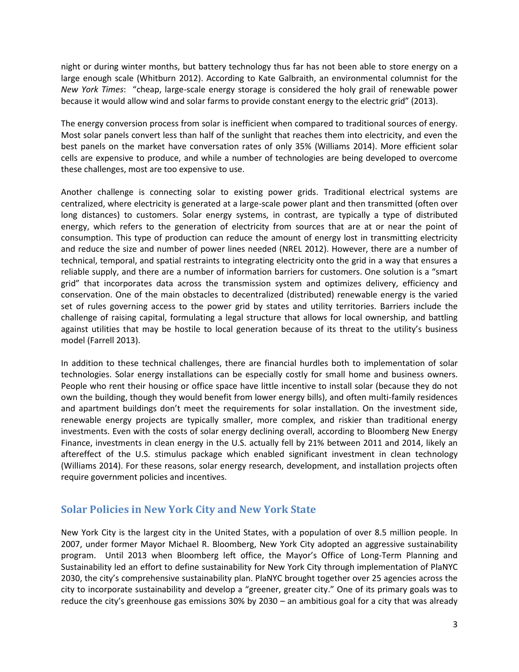night or during winter months, but battery technology thus far has not been able to store energy on a large enough scale (Whitburn 2012). According to Kate Galbraith, an environmental columnist for the *New York Times*: "cheap, large-scale energy storage is considered the holy grail of renewable power because it would allow wind and solar farms to provide constant energy to the electric grid" (2013).

The energy conversion process from solar is inefficient when compared to traditional sources of energy. Most solar panels convert less than half of the sunlight that reaches them into electricity, and even the best panels on the market have conversation rates of only 35% (Williams 2014). More efficient solar cells are expensive to produce, and while a number of technologies are being developed to overcome these challenges, most are too expensive to use.

Another challenge is connecting solar to existing power grids. Traditional electrical systems are centralized, where electricity is generated at a large-scale power plant and then transmitted (often over long distances) to customers. Solar energy systems, in contrast, are typically a type of distributed energy, which refers to the generation of electricity from sources that are at or near the point of consumption. This type of production can reduce the amount of energy lost in transmitting electricity and reduce the size and number of power lines needed (NREL 2012). However, there are a number of technical, temporal, and spatial restraints to integrating electricity onto the grid in a way that ensures a reliable supply, and there are a number of information barriers for customers. One solution is a "smart grid" that incorporates data across the transmission system and optimizes delivery, efficiency and conservation. One of the main obstacles to decentralized (distributed) renewable energy is the varied set of rules governing access to the power grid by states and utility territories. Barriers include the challenge of raising capital, formulating a legal structure that allows for local ownership, and battling against utilities that may be hostile to local generation because of its threat to the utility's business model (Farrell 2013).

In addition to these technical challenges, there are financial hurdles both to implementation of solar technologies. Solar energy installations can be especially costly for small home and business owners. People who rent their housing or office space have little incentive to install solar (because they do not own the building, though they would benefit from lower energy bills), and often multi-family residences and apartment buildings don't meet the requirements for solar installation. On the investment side, renewable energy projects are typically smaller, more complex, and riskier than traditional energy investments. Even with the costs of solar energy declining overall, according to Bloomberg New Energy Finance, investments in clean energy in the U.S. actually fell by 21% between 2011 and 2014, likely an aftereffect of the U.S. stimulus package which enabled significant investment in clean technology (Williams 2014). For these reasons, solar energy research, development, and installation projects often require government policies and incentives.

# **Solar Policies in New York City and New York State**

New York City is the largest city in the United States, with a population of over 8.5 million people. In 2007, under former Mayor Michael R. Bloomberg, New York City adopted an aggressive sustainability program. Until 2013 when Bloomberg left office, the Mayor's Office of Long-Term Planning and Sustainability led an effort to define sustainability for New York City through implementation of PlaNYC 2030, the city's comprehensive sustainability plan. PlaNYC brought together over 25 agencies across the city to incorporate sustainability and develop a "greener, greater city." One of its primary goals was to reduce the city's greenhouse gas emissions 30% by 2030 – an ambitious goal for a city that was already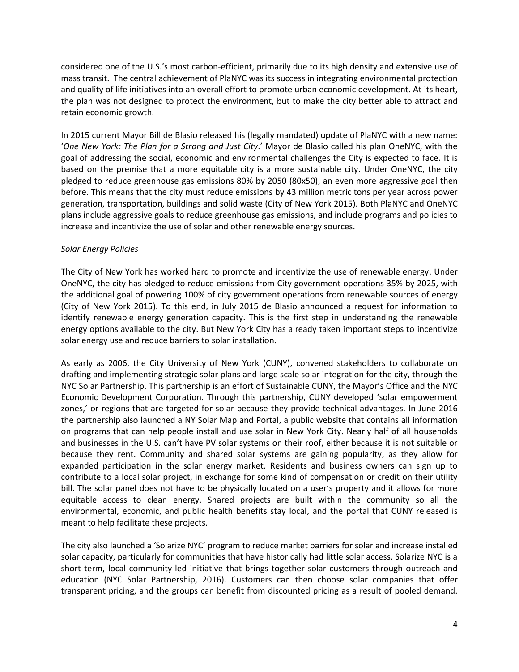considered one of the U.S.'s most carbon-efficient, primarily due to its high density and extensive use of mass transit. The central achievement of PlaNYC was its success in integrating environmental protection and quality of life initiatives into an overall effort to promote urban economic development. At its heart, the plan was not designed to protect the environment, but to make the city better able to attract and retain economic growth.

In 2015 current Mayor Bill de Blasio released his (legally mandated) update of PlaNYC with a new name: '*One New York: The Plan for a Strong and Just City*.' Mayor de Blasio called his plan OneNYC, with the goal of addressing the social, economic and environmental challenges the City is expected to face. It is based on the premise that a more equitable city is a more sustainable city. Under OneNYC, the city pledged to reduce greenhouse gas emissions 80% by 2050 (80x50), an even more aggressive goal then before. This means that the city must reduce emissions by 43 million metric tons per year across power generation, transportation, buildings and solid waste (City of New York 2015). Both PlaNYC and OneNYC plans include aggressive goals to reduce greenhouse gas emissions, and include programs and policies to increase and incentivize the use of solar and other renewable energy sources.

#### *Solar Energy Policies*

The City of New York has worked hard to promote and incentivize the use of renewable energy. Under OneNYC, the city has pledged to reduce emissions from City government operations 35% by 2025, with the additional goal of powering 100% of city government operations from renewable sources of energy (City of New York 2015). To this end, in July 2015 de Blasio announced a request for information to identify renewable energy generation capacity. This is the first step in understanding the renewable energy options available to the city. But New York City has already taken important steps to incentivize solar energy use and reduce barriers to solar installation.

As early as 2006, the City University of New York (CUNY), convened stakeholders to collaborate on drafting and implementing strategic solar plans and large scale solar integration for the city, through the NYC Solar Partnership. This partnership is an effort of Sustainable CUNY, the Mayor's Office and the NYC Economic Development Corporation. Through this partnership, CUNY developed 'solar empowerment zones,' or regions that are targeted for solar because they provide technical advantages. In June 2016 the partnership also launched a NY Solar Map and Portal, a public website that contains all information on programs that can help people install and use solar in New York City. Nearly half of all households and businesses in the U.S. can't have PV solar systems on their roof, either because it is not suitable or because they rent. Community and shared solar systems are gaining popularity, as they allow for expanded participation in the solar energy market. Residents and business owners can sign up to contribute to a local solar project, in exchange for some kind of compensation or credit on their utility bill. The solar panel does not have to be physically located on a user's property and it allows for more equitable access to clean energy. Shared projects are built within the community so all the environmental, economic, and public health benefits stay local, and the portal that CUNY released is meant to help facilitate these projects.

The city also launched a 'Solarize NYC' program to reduce market barriers for solar and increase installed solar capacity, particularly for communities that have historically had little solar access. Solarize NYC is a short term, local community-led initiative that brings together solar customers through outreach and education (NYC Solar Partnership, 2016). Customers can then choose solar companies that offer transparent pricing, and the groups can benefit from discounted pricing as a result of pooled demand.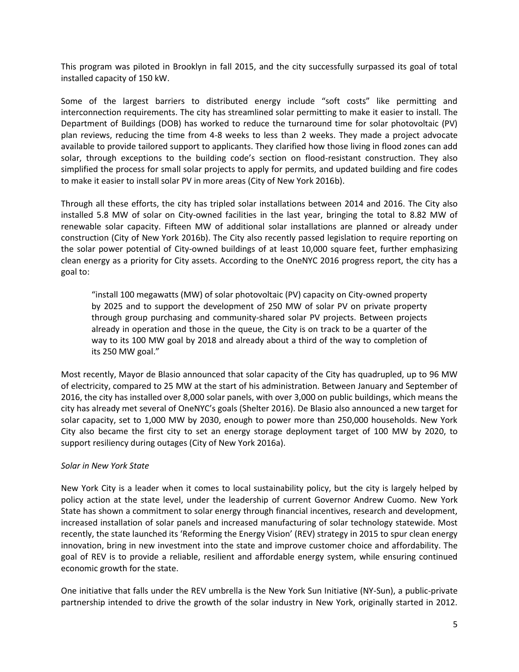This program was piloted in Brooklyn in fall 2015, and the city successfully surpassed its goal of total installed capacity of 150 kW.

Some of the largest barriers to distributed energy include "soft costs" like permitting and interconnection requirements. The city has streamlined solar permitting to make it easier to install. The Department of Buildings (DOB) has worked to reduce the turnaround time for solar photovoltaic (PV) plan reviews, reducing the time from 4-8 weeks to less than 2 weeks. They made a project advocate available to provide tailored support to applicants. They clarified how those living in flood zones can add solar, through exceptions to the building code's section on flood-resistant construction. They also simplified the process for small solar projects to apply for permits, and updated building and fire codes to make it easier to install solar PV in more areas (City of New York 2016b).

Through all these efforts, the city has tripled solar installations between 2014 and 2016. The City also installed 5.8 MW of solar on City-owned facilities in the last year, bringing the total to 8.82 MW of renewable solar capacity. Fifteen MW of additional solar installations are planned or already under construction (City of New York 2016b). The City also recently passed legislation to require reporting on the solar power potential of City-owned buildings of at least 10,000 square feet, further emphasizing clean energy as a priority for City assets. According to the OneNYC 2016 progress report, the city has a goal to:

"install 100 megawatts (MW) of solar photovoltaic (PV) capacity on City-owned property by 2025 and to support the development of 250 MW of solar PV on private property through group purchasing and community-shared solar PV projects. Between projects already in operation and those in the queue, the City is on track to be a quarter of the way to its 100 MW goal by 2018 and already about a third of the way to completion of its 250 MW goal."

Most recently, Mayor de Blasio announced that solar capacity of the City has quadrupled, up to 96 MW of electricity, compared to 25 MW at the start of his administration. Between January and September of 2016, the city has installed over 8,000 solar panels, with over 3,000 on public buildings, which means the city has already met several of OneNYC's goals (Shelter 2016). De Blasio also announced a new target for solar capacity, set to 1,000 MW by 2030, enough to power more than 250,000 households. New York City also became the first city to set an energy storage deployment target of 100 MW by 2020, to support resiliency during outages (City of New York 2016a).

#### *Solar in New York State*

New York City is a leader when it comes to local sustainability policy, but the city is largely helped by policy action at the state level, under the leadership of current Governor Andrew Cuomo. New York State has shown a commitment to solar energy through financial incentives, research and development, increased installation of solar panels and increased manufacturing of solar technology statewide. Most recently, the state launched its 'Reforming the Energy Vision' (REV) strategy in 2015 to spur clean energy innovation, bring in new investment into the state and improve customer choice and affordability. The goal of REV is to provide a reliable, resilient and affordable energy system, while ensuring continued economic growth for the state.

One initiative that falls under the REV umbrella is the New York Sun Initiative (NY-Sun), a public-private partnership intended to drive the growth of the solar industry in New York, originally started in 2012.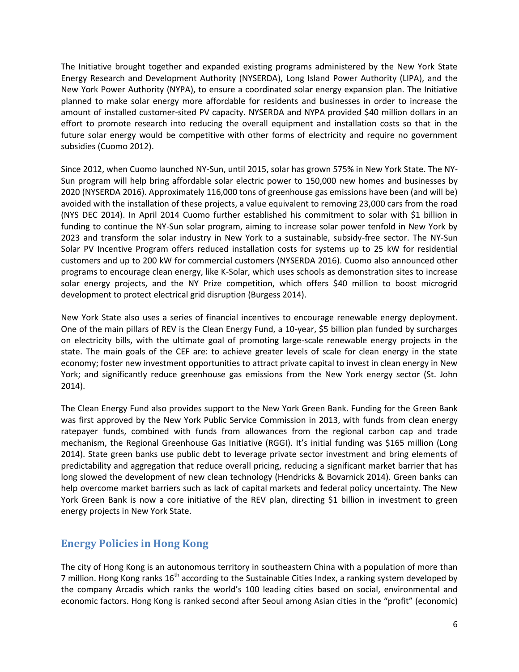The Initiative brought together and expanded existing programs administered by the New York State Energy Research and Development Authority (NYSERDA), Long Island Power Authority (LIPA), and the New York Power Authority (NYPA), to ensure a coordinated solar energy expansion plan. The Initiative planned to make solar energy more affordable for residents and businesses in order to increase the amount of installed customer-sited PV capacity. NYSERDA and NYPA provided \$40 million dollars in an effort to promote research into reducing the overall equipment and installation costs so that in the future solar energy would be competitive with other forms of electricity and require no government subsidies (Cuomo 2012).

Since 2012, when Cuomo launched NY-Sun, until 2015, solar has grown 575% in New York State. The NY-Sun program will help bring affordable solar electric power to 150,000 new homes and businesses by 2020 (NYSERDA 2016). Approximately 116,000 tons of greenhouse gas emissions have been (and will be) avoided with the installation of these projects, a value equivalent to removing 23,000 cars from the road (NYS DEC 2014). In April 2014 Cuomo further established his commitment to solar with \$1 billion in funding to continue the NY-Sun solar program, aiming to increase solar power tenfold in New York by 2023 and transform the solar industry in New York to a sustainable, subsidy-free sector. The NY-Sun Solar PV Incentive Program offers reduced installation costs for systems up to 25 kW for residential customers and up to 200 kW for commercial customers (NYSERDA 2016). Cuomo also announced other programs to encourage clean energy, like K-Solar, which uses schools as demonstration sites to increase solar energy projects, and the NY Prize competition, which offers \$40 million to boost microgrid development to protect electrical grid disruption (Burgess 2014).

New York State also uses a series of financial incentives to encourage renewable energy deployment. One of the main pillars of REV is the Clean Energy Fund, a 10-year, \$5 billion plan funded by surcharges on electricity bills, with the ultimate goal of promoting large-scale renewable energy projects in the state. The main goals of the CEF are: to achieve greater levels of scale for clean energy in the state economy; foster new investment opportunities to attract private capital to invest in clean energy in New York; and significantly reduce greenhouse gas emissions from the New York energy sector (St. John 2014).

The Clean Energy Fund also provides support to the New York Green Bank. Funding for the Green Bank was first approved by the New York Public Service Commission in 2013, with funds from clean energy ratepayer funds, combined with funds from allowances from the regional carbon cap and trade mechanism, the Regional Greenhouse Gas Initiative (RGGI). It's initial funding was \$165 million (Long 2014). State green banks use public debt to leverage private sector investment and bring elements of predictability and aggregation that reduce overall pricing, reducing a significant market barrier that has long slowed the development of new clean technology (Hendricks & Bovarnick 2014). Green banks can help overcome market barriers such as lack of capital markets and federal policy uncertainty. The New York Green Bank is now a core initiative of the REV plan, directing \$1 billion in investment to green energy projects in New York State.

# **Energy Policies in Hong Kong**

The city of Hong Kong is an autonomous territory in southeastern China with a population of more than 7 million. Hong Kong ranks  $16<sup>th</sup>$  according to the Sustainable Cities Index, a ranking system developed by the company Arcadis which ranks the world's 100 leading cities based on social, environmental and economic factors. Hong Kong is ranked second after Seoul among Asian cities in the "profit" (economic)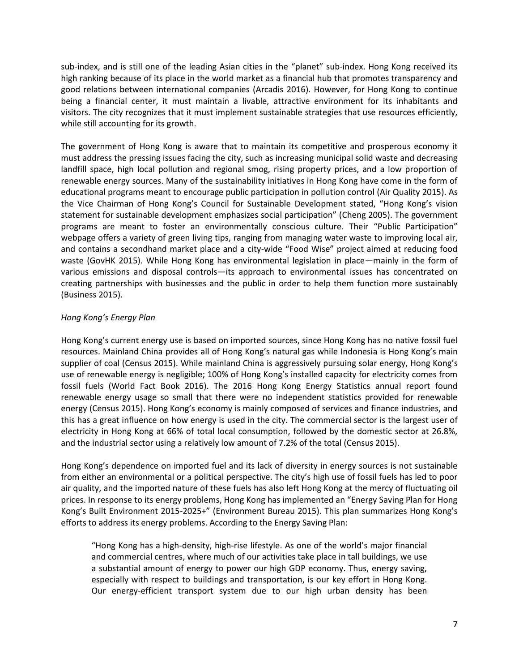sub-index, and is still one of the leading Asian cities in the "planet" sub-index. Hong Kong received its high ranking because of its place in the world market as a financial hub that promotes transparency and good relations between international companies (Arcadis 2016). However, for Hong Kong to continue being a financial center, it must maintain a livable, attractive environment for its inhabitants and visitors. The city recognizes that it must implement sustainable strategies that use resources efficiently, while still accounting for its growth.

The government of Hong Kong is aware that to maintain its competitive and prosperous economy it must address the pressing issues facing the city, such as increasing municipal solid waste and decreasing landfill space, high local pollution and regional smog, rising property prices, and a low proportion of renewable energy sources. Many of the sustainability initiatives in Hong Kong have come in the form of educational programs meant to encourage public participation in pollution control (Air Quality 2015). As the Vice Chairman of Hong Kong's Council for Sustainable Development stated, "Hong Kong's vision statement for sustainable development emphasizes social participation" (Cheng 2005). The government programs are meant to foster an environmentally conscious culture. Their "Public Participation" webpage offers a variety of green living tips, ranging from managing water waste to improving local air, and contains a secondhand market place and a city-wide "Food Wise" project aimed at reducing food waste (GovHK 2015). While Hong Kong has environmental legislation in place—mainly in the form of various emissions and disposal controls—its approach to environmental issues has concentrated on creating partnerships with businesses and the public in order to help them function more sustainably (Business 2015).

#### *Hong Kong's Energy Plan*

Hong Kong's current energy use is based on imported sources, since Hong Kong has no native fossil fuel resources. Mainland China provides all of Hong Kong's natural gas while Indonesia is Hong Kong's main supplier of coal (Census 2015). While mainland China is aggressively pursuing solar energy, Hong Kong's use of renewable energy is negligible; 100% of Hong Kong's installed capacity for electricity comes from fossil fuels [\(World](https://www.cia.gov/library/publications/the-world-factbook/geos/hk.html) Fact Book 2016). The 2016 Hong Kong Energy Statistics annual report found renewable energy usage so small that there were no independent statistics provided for renewable energy [\(Census](http://www.censtatd.gov.hk/hkstat/sub/sp90.jsp?productCode=B1100002) 2015). Hong Kong's economy is mainly composed of services and finance industries, and this has a great influence on how energy is used in the city. The commercial sector is the largest user of electricity in Hong Kong at 66% of total local consumption, followed by the domestic sector at 26.8%, and the industrial sector using a relatively low amount of 7.2% of the total (Census 2015).

Hong Kong's dependence on imported fuel and its lack of diversity in energy sources is not sustainable from either an environmental or a political perspective. The city's high use of fossil fuels has led to poor air quality, and the imported nature of these fuels has also left Hong Kong at the mercy of fluctuating oil prices. In response to its energy problems, Hong Kong has implemented an "Energy Saving Plan for Hong Kong's Built Environment 2015-2025+" (Environment Bureau 2015). This plan summarizes Hong Kong's efforts to address its energy problems. According to the Energy Saving Plan:

"Hong Kong has a high-density, high-rise lifestyle. As one of the world's major financial and commercial centres, where much of our activities take place in tall buildings, we use a substantial amount of energy to power our high GDP economy. Thus, energy saving, especially with respect to buildings and transportation, is our key effort in Hong Kong. Our energy-efficient transport system due to our high urban density has been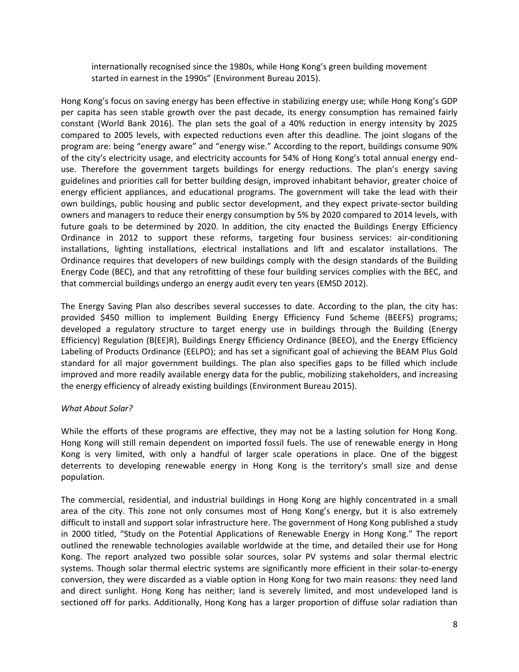internationally recognised since the 1980s, while Hong Kong's green building movement started in earnest in the 1990s" (Environment Bureau 2015).

Hong Kong's focus on saving energy has been effective in stabilizing energy use; while Hong Kong's GDP per capita has seen stable growth over the past decade, its energy consumption has remained fairly constant [\(World](http://databank.worldbank.org/data/reports.aspx?source=2&series=EG.USE.ELEC.KH.PC&country=) Bank 2016). The plan sets the goal of a 40% reduction in energy intensity by 2025 compared to 2005 levels, with expected reductions even after this deadline. The joint slogans of the program are: being "energy aware" and "energy wise." According to the report, buildings consume 90% of the city's electricity usage, and electricity accounts for 54% of Hong Kong's total annual energy enduse. Therefore the government targets buildings for energy reductions. The plan's energy saving guidelines and priorities call for better building design, improved inhabitant behavior, greater choice of energy efficient appliances, and educational programs. The government will take the lead with their own buildings, public housing and public sector development, and they expect private-sector building owners and managers to reduce their energy consumption by 5% by 2020 compared to 2014 levels, with future goals to be determined by 2020. In addition, the city enacted the Buildings Energy Efficiency Ordinance in 2012 to support these reforms, targeting four business services: air-conditioning installations, lighting installations, electrical installations and lift and escalator installations. The Ordinance requires that developers of new buildings comply with the design standards of the Building Energy Code (BEC), and that any retrofitting of these four building services complies with the BEC, and that commercial buildings undergo an energy audit every ten years (EMSD 2012).

The Energy Saving Plan also describes several successes to date. According to the plan, the city has: provided \$450 million to implement Building Energy Efficiency Fund Scheme (BEEFS) programs; developed a regulatory structure to target energy use in buildings through the Building (Energy Efficiency) Regulation (B(EE)R), Buildings Energy Efficiency Ordinance (BEEO), and the Energy Efficiency Labeling of Products Ordinance (EELPO); and has set a significant goal of achieving the BEAM Plus Gold standard for all major government buildings. The plan also specifies gaps to be filled which include improved and more readily available energy data for the public, mobilizing stakeholders, and increasing the energy efficiency of already existing buildings (Environment Bureau 2015).

#### *What About Solar?*

While the efforts of these programs are effective, they may not be a lasting solution for Hong Kong. Hong Kong will still remain dependent on imported fossil fuels. The use of renewable energy in Hong Kong is very limited, with only a handful of larger scale operations in place. One of the biggest deterrents to developing renewable energy in Hong Kong is the territory's small size and dense population.

The commercial, residential, and industrial buildings in Hong Kong are highly concentrated in a small area of the city. This zone not only consumes most of Hong Kong's energy, but it is also extremely difficult to install and support solar infrastructure here. The government of Hong Kong published a study in 2000 titled, "Study on the Potential Applications of Renewable Energy in Hong Kong." The report outlined the renewable technologies available worldwide at the time, and detailed their use for Hong Kong. The report analyzed two possible solar sources, solar PV systems and solar thermal electric systems. Though solar thermal electric systems are significantly more efficient in their solar-to-energy conversion, they were discarded as a viable option in Hong Kong for two main reasons: they need land and direct sunlight. Hong Kong has neither; land is severely limited, and most undeveloped land is sectioned off for parks. Additionally, Hong Kong has a larger proportion of diffuse solar radiation than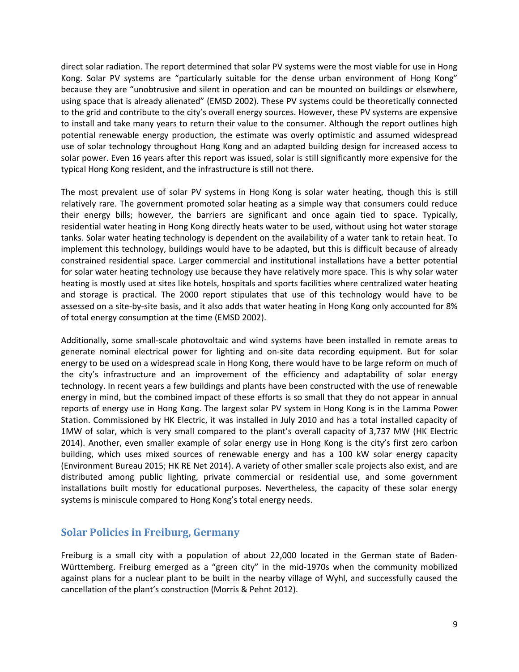direct solar radiation. The report determined that solar PV systems were the most viable for use in Hong Kong. Solar PV systems are "particularly suitable for the dense urban environment of Hong Kong" because they are "unobtrusive and silent in operation and can be mounted on buildings or elsewhere, using space that is already alienated" ([EMSD](http://www.emsd.gov.hk/filemanager/en/content_299/stage1_report.pdf) 2002). These PV systems could be theoretically connected to the grid and contribute to the city's overall energy sources. However, these PV systems are expensive to install and take many years to return their value to the consumer. Although the report outlines high potential renewable energy production, the estimate was overly optimistic and assumed widespread use of solar technology throughout Hong Kong and an adapted building design for increased access to solar power. Even 16 years after this report was issued, solar is still significantly more expensive for the typical Hong Kong resident, and the infrastructure is still not there.

The most prevalent use of solar PV systems in Hong Kong is solar water heating, though this is still relatively rare. The government promoted solar heating as a simple way that consumers could reduce their energy bills; however, the barriers are significant and once again tied to space. Typically, residential water heating in Hong Kong directly heats water to be used, without using hot water storage tanks. Solar water heating technology is dependent on the availability of a water tank to retain heat. To implement this technology, buildings would have to be adapted, but this is difficult because of already constrained residential space. Larger commercial and institutional installations have a better potential for solar water heating technology use because they have relatively more space. This is why solar water heating is mostly used at sites like hotels, hospitals and sports facilities where centralized water heating and storage is practical. The 2000 report stipulates that use of this technology would have to be assessed on a site-by-site basis, and it also adds that water heating in Hong Kong only accounted for 8% of total energy consumption at the time (EMSD 2002).

Additionally, some small-scale photovoltaic and wind systems have been installed in remote areas to generate nominal electrical power for lighting and on-site data recording equipment. But for solar energy to be used on a widespread scale in Hong Kong, there would have to be large reform on much of the city's infrastructure and an improvement of the efficiency and adaptability of solar energy technology. In recent years a few buildings and plants have been constructed with the use of renewable energy in mind, but the combined impact of these efforts is so small that they do not appear in annual reports of energy use in Hong Kong. The largest solar PV system in Hong Kong is in the Lamma Power Station. Commissioned by HK Electric, it was installed in July 2010 and has a total installed capacity of 1MW of solar, which is very small compared to the plant's overall capacity of 3,737 MW ([HK](https://www.hkelectric.com/en/MediaResources/Documents/LPS_2014.pdf) Electric 2014). Another, even smaller example of solar energy use in Hong Kong is the city's first zero carbon building, which uses mixed sources of renewable energy and has a 100 kW solar energy capacity [\(Environment](http://www.enb.gov.hk/sites/default/files/pdf/EnergySavingPlanEn.pdf) Bureau 2015; [HK](http://re.emsd.gov.hk/english/solar/solar_ph/files/non_gov_PV_Jun2014.pdf) RE Net 2014). A variety of other smaller scale projects also exist, and are distributed among public lighting, private commercial or residential use, and some government installations built mostly for educational purposes. Nevertheless, the capacity of these solar energy systems is miniscule compared to Hong Kong's total energy needs.

## **Solar Policies in Freiburg, Germany**

Freiburg is a small city with a population of about 22,000 located in the German state of Baden-Württemberg. Freiburg emerged as a "green city" in the mid-1970s when the community mobilized against plans for a nuclear plant to be built in the nearby village of Wyhl, and successfully caused the cancellation of the plant's construction (Morris & Pehnt 2012).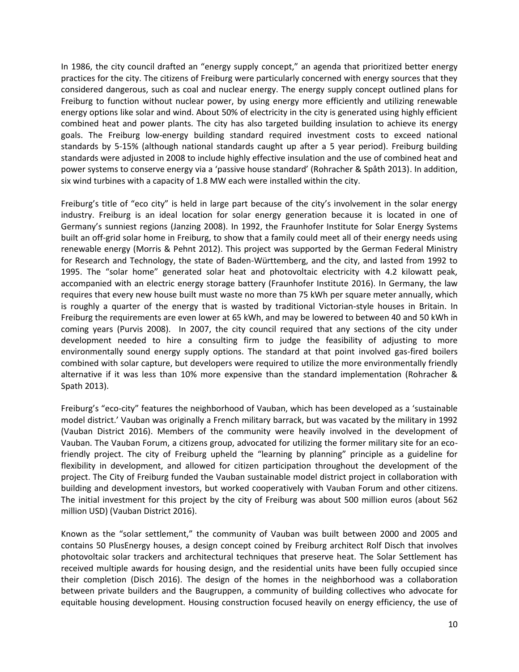In 1986, the city council drafted an "energy supply concept," an agenda that prioritized better energy practices for the city. The citizens of Freiburg were particularly concerned with energy sources that they considered dangerous, such as coal and nuclear energy. The energy supply concept outlined plans for Freiburg to function without nuclear power, by using energy more efficiently and utilizing renewable energy options like solar and wind. About 50% of electricity in the city is generated using highly efficient combined heat and power plants. The city has also targeted building insulation to achieve its energy goals. The Freiburg low-energy building standard required investment costs to exceed national standards by 5-15% (although national standards caught up after a 5 year period). Freiburg building standards were adjusted in 2008 to include highly effective insulation and the use of combined heat and power systems to conserve energy via a 'passive house standard' (Rohracher & Spåth 2013). In addition, six wind turbines with a capacity of 1.8 MW each were installed within the city.

Freiburg's title of "eco city" is held in large part because of the city's involvement in the solar energy industry. Freiburg is an ideal location for solar energy generation because it is located in one of Germany's sunniest regions (Janzing 2008). In 1992, the Fraunhofer Institute for Solar Energy Systems built an off-grid solar home in Freiburg, to show that a family could meet all of their energy needs using renewable energy (Morris & Pehnt 2012). This project was supported by the German Federal Ministry for Research and Technology, the state of Baden-Württemberg, and the city, and lasted from 1992 to 1995. The "solar home" generated solar heat and photovoltaic electricity with 4.2 kilowatt peak, accompanied with an electric energy storage battery (Fraunhofer Institute 2016). In Germany, the law requires that every new house built must waste no more than 75 kWh per square meter annually, which is roughly a quarter of the energy that is wasted by traditional Victorian-style houses in Britain. In Freiburg the requirements are even lower at 65 kWh, and may be lowered to between 40 and 50 kWh in coming years (Purvis 2008). In 2007, the city council required that any sections of the city under development needed to hire a consulting firm to judge the feasibility of adjusting to more environmentally sound energy supply options. The standard at that point involved gas-fired boilers combined with solar capture, but developers were required to utilize the more environmentally friendly alternative if it was less than 10% more expensive than the standard implementation (Rohracher & Spath 2013).

Freiburg's "eco-city" features the neighborhood of Vauban, which has been developed as a 'sustainable model district.' Vauban was originally a French military barrack, but was vacated by the military in 1992 (Vauban District 2016). Members of the community were heavily involved in the development of Vauban. The Vauban Forum, a citizens group, advocated for utilizing the former military site for an ecofriendly project. The city of Freiburg upheld the "learning by planning" principle as a guideline for flexibility in development, and allowed for citizen participation throughout the development of the project. The City of Freiburg funded the Vauban sustainable model district project in collaboration with building and development investors, but worked cooperatively with Vauban Forum and other citizens. The initial investment for this project by the city of Freiburg was about 500 million euros (about 562 million USD) (Vauban District 2016).

Known as the "solar settlement," the community of Vauban was built between 2000 and 2005 and contains 50 PlusEnergy houses, a design concept coined by Freiburg architect Rolf Disch that involves photovoltaic solar trackers and architectural techniques that preserve heat. The Solar Settlement has received multiple awards for housing design, and the residential units have been fully occupied since their completion (Disch 2016). The design of the homes in the neighborhood was a collaboration between private builders and the Baugruppen, a community of building collectives who advocate for equitable housing development. Housing construction focused heavily on energy efficiency, the use of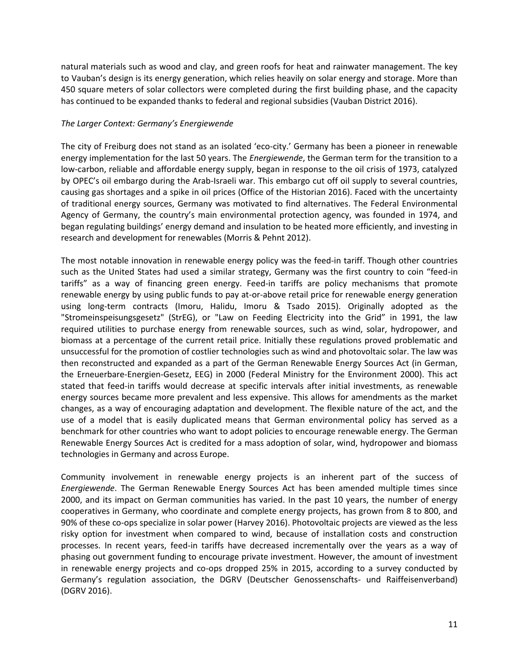natural materials such as wood and clay, and green roofs for heat and rainwater management. The key to Vauban's design is its energy generation, which relies heavily on solar energy and storage. More than 450 square meters of solar collectors were completed during the first building phase, and the capacity has continued to be expanded thanks to federal and regional subsidies (Vauban District 2016).

#### *The Larger Context: Germany's Energiewende*

The city of Freiburg does not stand as an isolated 'eco-city.' Germany has been a pioneer in renewable energy implementation for the last 50 years. The *Energiewende*, the German term for the transition to a low-carbon, reliable and affordable energy supply, began in response to the oil crisis of 1973, catalyzed by OPEC's oil embargo during the Arab-Israeli war. This embargo cut off oil supply to several countries, causing gas shortages and a spike in oil prices (Office of the Historian 2016). Faced with the uncertainty of traditional energy sources, Germany was motivated to find alternatives. The Federal Environmental Agency of Germany, the country's main environmental protection agency, was founded in 1974, and began regulating buildings' energy demand and insulation to be heated more efficiently, and investing in research and development for renewables (Morris & Pehnt 2012).

The most notable innovation in renewable energy policy was the feed-in tariff. Though other countries such as the United States had used a similar strategy, Germany was the first country to coin "feed-in tariffs" as a way of financing green energy. Feed-in tariffs are policy mechanisms that promote renewable energy by using public funds to pay at-or-above retail price for renewable energy generation using long-term contracts (Imoru, Halidu, Imoru & Tsado 2015). Originally adopted as the "Stromeinspeisungsgesetz" (StrEG), or "Law on Feeding Electricity into the Grid" in 1991, the law required utilities to purchase energy from renewable sources, such as wind, solar, hydropower, and biomass at a percentage of the current retail price. Initially these regulations proved problematic and unsuccessful for the promotion of costlier technologies such as wind and photovoltaic solar. The law was then reconstructed and expanded as a part of the German Renewable Energy Sources Act (in German, the Erneuerbare-Energien-Gesetz, EEG) in 2000 (Federal Ministry for the Environment 2000). This act stated that feed-in tariffs would decrease at specific intervals after initial investments, as renewable energy sources became more prevalent and less expensive. This allows for amendments as the market changes, as a way of encouraging adaptation and development. The flexible nature of the act, and the use of a model that is easily duplicated means that German environmental policy has served as a benchmark for other countries who want to adopt policies to encourage renewable energy. The German Renewable Energy Sources Act is credited for a mass adoption of solar, wind, hydropower and biomass technologies in Germany and across Europe.

Community involvement in renewable energy projects is an inherent part of the success of *Energiewende*. The German Renewable Energy Sources Act has been amended multiple times since 2000, and its impact on German communities has varied. In the past 10 years, the number of energy cooperatives in Germany, who coordinate and complete energy projects, has grown from 8 to 800, and 90% of these co-ops specialize in solar power (Harvey 2016). Photovoltaic projects are viewed as the less risky option for investment when compared to wind, because of installation costs and construction processes. In recent years, feed-in tariffs have decreased incrementally over the years as a way of phasing out government funding to encourage private investment. However, the amount of investment in renewable energy projects and co-ops dropped 25% in 2015, according to a survey conducted by Germany's regulation association, the DGRV (Deutscher Genossenschafts- und Raiffeisenverband) (DGRV 2016).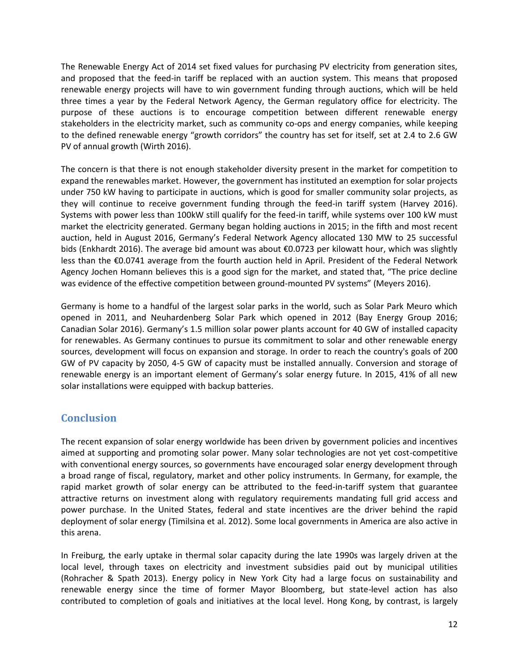The Renewable Energy Act of 2014 set fixed values for purchasing PV electricity from generation sites, and proposed that the feed-in tariff be replaced with an auction system. This means that proposed renewable energy projects will have to win government funding through auctions, which will be held three times a year by the Federal Network Agency, the German regulatory office for electricity. The purpose of these auctions is to encourage competition between different renewable energy stakeholders in the electricity market, such as community co-ops and energy companies, while keeping to the defined renewable energy "growth corridors" the country has set for itself, set at 2.4 to 2.6 GW PV of annual growth (Wirth 2016).

The concern is that there is not enough stakeholder diversity present in the market for competition to expand the renewables market. However, the government has instituted an exemption for solar projects under 750 kW having to participate in auctions, which is good for smaller community solar projects, as they will continue to receive government funding through the feed-in tariff system (Harvey 2016). Systems with power less than 100kW still qualify for the feed-in tariff, while systems over 100 kW must market the electricity generated. Germany began holding auctions in 2015; in the fifth and most recent auction, held in August 2016, Germany's Federal Network Agency allocated 130 MW to 25 successful bids (Enkhardt 2016). The average bid amount was about €0.0723 per kilowatt hour, which was slightly less than the €0.0741 average from the fourth auction held in April. President of the Federal Network Agency Jochen Homann believes this is a good sign for the market, and stated that, "The price decline was evidence of the effective competition between ground-mounted PV systems" (Meyers 2016).

Germany is home to a handful of the largest solar parks in the world, such as Solar Park Meuro which opened in 2011, and Neuhardenberg Solar Park which opened in 2012 (Bay Energy Group 2016; Canadian Solar 2016). Germany's 1.5 million solar power plants account for 40 GW of installed capacity for renewables. As Germany continues to pursue its commitment to solar and other renewable energy sources, development will focus on expansion and storage. In order to reach the country's goals of 200 GW of PV capacity by 2050, 4-5 GW of capacity must be installed annually. Conversion and storage of renewable energy is an important element of Germany's solar energy future. In 2015, 41% of all new solar installations were equipped with backup batteries.

# **Conclusion**

The recent expansion of solar energy worldwide has been driven by government policies and incentives aimed at supporting and promoting solar power. Many solar technologies are not yet cost-competitive with conventional energy sources, so governments have encouraged solar energy development through a broad range of fiscal, regulatory, market and other policy instruments. In Germany, for example, the rapid market growth of solar energy can be attributed to the feed-in-tariff system that guarantee attractive returns on investment along with regulatory requirements mandating full grid access and power purchase. In the United States, federal and state incentives are the driver behind the rapid deployment of solar energy (Timilsina et al. 2012). Some local governments in America are also active in this arena.

In Freiburg, the early uptake in thermal solar capacity during the late 1990s was largely driven at the local level, through taxes on electricity and investment subsidies paid out by municipal utilities (Rohracher & Spath 2013). Energy policy in New York City had a large focus on sustainability and renewable energy since the time of former Mayor Bloomberg, but state-level action has also contributed to completion of goals and initiatives at the local level. Hong Kong, by contrast, is largely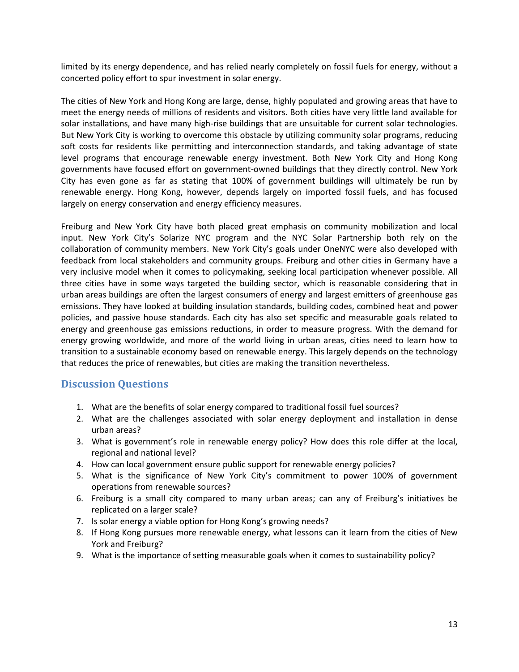limited by its energy dependence, and has relied nearly completely on fossil fuels for energy, without a concerted policy effort to spur investment in solar energy.

The cities of New York and Hong Kong are large, dense, highly populated and growing areas that have to meet the energy needs of millions of residents and visitors. Both cities have very little land available for solar installations, and have many high-rise buildings that are unsuitable for current solar technologies. But New York City is working to overcome this obstacle by utilizing community solar programs, reducing soft costs for residents like permitting and interconnection standards, and taking advantage of state level programs that encourage renewable energy investment. Both New York City and Hong Kong governments have focused effort on government-owned buildings that they directly control. New York City has even gone as far as stating that 100% of government buildings will ultimately be run by renewable energy. Hong Kong, however, depends largely on imported fossil fuels, and has focused largely on energy conservation and energy efficiency measures.

Freiburg and New York City have both placed great emphasis on community mobilization and local input. New York City's Solarize NYC program and the NYC Solar Partnership both rely on the collaboration of community members. New York City's goals under OneNYC were also developed with feedback from local stakeholders and community groups. Freiburg and other cities in Germany have a very inclusive model when it comes to policymaking, seeking local participation whenever possible. All three cities have in some ways targeted the building sector, which is reasonable considering that in urban areas buildings are often the largest consumers of energy and largest emitters of greenhouse gas emissions. They have looked at building insulation standards, building codes, combined heat and power policies, and passive house standards. Each city has also set specific and measurable goals related to energy and greenhouse gas emissions reductions, in order to measure progress. With the demand for energy growing worldwide, and more of the world living in urban areas, cities need to learn how to transition to a sustainable economy based on renewable energy. This largely depends on the technology that reduces the price of renewables, but cities are making the transition nevertheless.

## **Discussion Questions**

- 1. What are the benefits of solar energy compared to traditional fossil fuel sources?
- 2. What are the challenges associated with solar energy deployment and installation in dense urban areas?
- 3. What is government's role in renewable energy policy? How does this role differ at the local, regional and national level?
- 4. How can local government ensure public support for renewable energy policies?
- 5. What is the significance of New York City's commitment to power 100% of government operations from renewable sources?
- 6. Freiburg is a small city compared to many urban areas; can any of Freiburg's initiatives be replicated on a larger scale?
- 7. Is solar energy a viable option for Hong Kong's growing needs?
- 8. If Hong Kong pursues more renewable energy, what lessons can it learn from the cities of New York and Freiburg?
- 9. What is the importance of setting measurable goals when it comes to sustainability policy?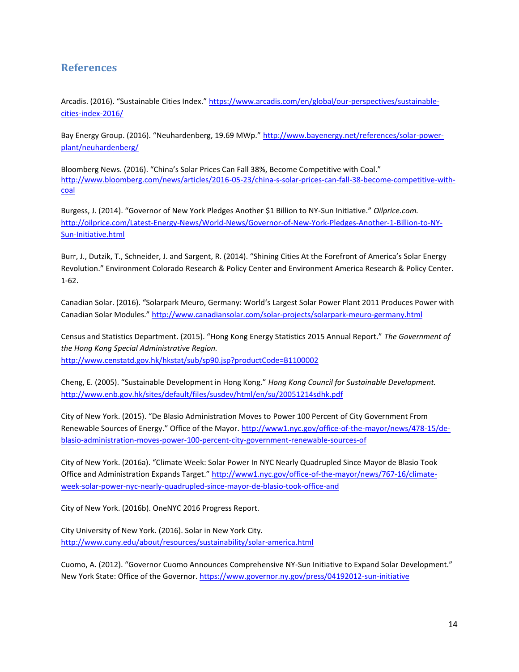### **References**

Arcadis. (2016). "Sustainable Cities Index." [https://www.arcadis.com/en/global/our-perspectives/sustainable](https://www.arcadis.com/en/global/our-perspectives/sustainable-cities-index-2016/)[cities-index-2016/](https://www.arcadis.com/en/global/our-perspectives/sustainable-cities-index-2016/)

Bay Energy Group. (2016). "Neuhardenberg, 19.69 MWp." [http://www.bayenergy.net/references/solar-power](http://www.bayenergy.net/references/solar-power-plant/neuhardenberg/)[plant/neuhardenberg/](http://www.bayenergy.net/references/solar-power-plant/neuhardenberg/)

Bloomberg News. (2016). "China's Solar Prices Can Fall 38%, Become Competitive with Coal." [http://www.bloomberg.com/news/articles/2016-05-23/china-s-solar-prices-can-fall-38-become-competitive-with](http://www.bloomberg.com/news/articles/2016-05-23/china-s-solar-prices-can-fall-38-become-competitive-with-coal)[coal](http://www.bloomberg.com/news/articles/2016-05-23/china-s-solar-prices-can-fall-38-become-competitive-with-coal)

Burgess, J. (2014). "Governor of New York Pledges Another \$1 Billion to NY-Sun Initiative." *Oilprice.com.* [http://oilprice.com/Latest-Energy-News/World-News/Governor-of-New-York-Pledges-Another-1-Billion-to-NY-](http://oilprice.com/Latest-Energy-News/World-News/Governor-of-New-York-Pledges-Another-1-Billion-to-NY-Sun-Initiative.html)[Sun-Initiative.html](http://oilprice.com/Latest-Energy-News/World-News/Governor-of-New-York-Pledges-Another-1-Billion-to-NY-Sun-Initiative.html)

Burr, J., Dutzik, T., Schneider, J. and Sargent, R. (2014). "Shining Cities At the Forefront of America's Solar Energy Revolution." Environment Colorado Research & Policy Center and Environment America Research & Policy Center. 1-62.

Canadian Solar. (2016). "Solarpark Meuro, Germany: World's Largest Solar Power Plant 2011 Produces Power with Canadian Solar Modules." <http://www.canadiansolar.com/solar-projects/solarpark-meuro-germany.html>

Census and Statistics Department. (2015). "Hong Kong Energy Statistics 2015 Annual Report." *The Government of the Hong Kong Special Administrative Region.*  <http://www.censtatd.gov.hk/hkstat/sub/sp90.jsp?productCode=B1100002>

Cheng, E. (2005). "Sustainable Development in Hong Kong." *Hong Kong Council for Sustainable Development.*  <http://www.enb.gov.hk/sites/default/files/susdev/html/en/su/20051214sdhk.pdf>

City of New York. (2015). "De Blasio Administration Moves to Power 100 Percent of City Government From Renewable Sources of Energy." Office of the Mayor. [http://www1.nyc.gov/office-of-the-mayor/news/478-15/de](http://www1.nyc.gov/office-of-the-mayor/news/478-15/de-blasio-administration-moves-power-100-percent-city-government-renewable-sources-of)[blasio-administration-moves-power-100-percent-city-government-renewable-sources-of](http://www1.nyc.gov/office-of-the-mayor/news/478-15/de-blasio-administration-moves-power-100-percent-city-government-renewable-sources-of)

City of New York. (2016a). "Climate Week: Solar Power In NYC Nearly Quadrupled Since Mayor de Blasio Took Office and Administration Expands Target." [http://www1.nyc.gov/office-of-the-mayor/news/767-16/climate](http://www1.nyc.gov/office-of-the-mayor/news/767-16/climate-week-solar-power-nyc-nearly-quadrupled-since-mayor-de-blasio-took-office-and)[week-solar-power-nyc-nearly-quadrupled-since-mayor-de-blasio-took-office-and](http://www1.nyc.gov/office-of-the-mayor/news/767-16/climate-week-solar-power-nyc-nearly-quadrupled-since-mayor-de-blasio-took-office-and)

City of New York. (2016b). OneNYC 2016 Progress Report.

City University of New York. (2016). Solar in New York City. <http://www.cuny.edu/about/resources/sustainability/solar-america.html>

Cuomo, A. (2012). "Governor Cuomo Announces Comprehensive NY-Sun Initiative to Expand Solar Development." New York State: Office of the Governor[. https://www.governor.ny.gov/press/04192012-sun-initiative](https://www.governor.ny.gov/press/04192012-sun-initiative)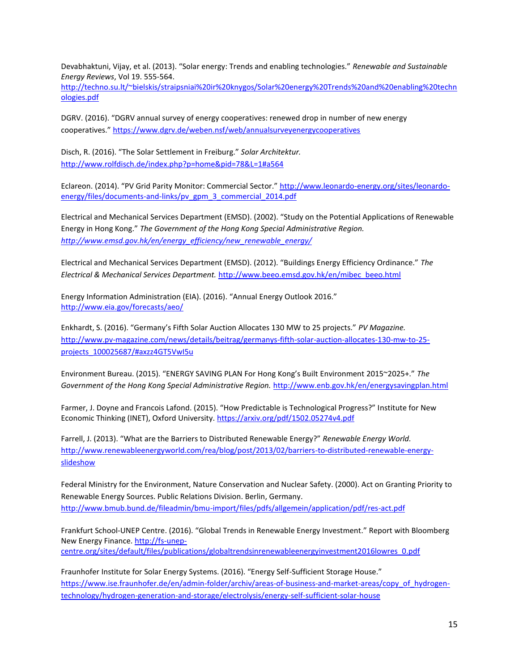Devabhaktuni, Vijay, et al. (2013). "Solar energy: Trends and enabling technologies." *Renewable and Sustainable Energy Reviews*, Vol 19. 555-564.

[http://techno.su.lt/~bielskis/straipsniai%20ir%20knygos/Solar%20energy%20Trends%20and%20enabling%20techn](http://techno.su.lt/~bielskis/straipsniai%20ir%20knygos/Solar%20energy%20Trends%20and%20enabling%20technologies.pdf) [ologies.pdf](http://techno.su.lt/~bielskis/straipsniai%20ir%20knygos/Solar%20energy%20Trends%20and%20enabling%20technologies.pdf)

DGRV. (2016). "DGRV annual survey of energy cooperatives: renewed drop in number of new energy cooperatives." <https://www.dgrv.de/weben.nsf/web/annualsurveyenergycooperatives>

Disch, R. (2016). "The Solar Settlement in Freiburg." *Solar Architektur.*  <http://www.rolfdisch.de/index.php?p=home&pid=78&L=1#a564>

Eclareon. (2014). "PV Grid Parity Monitor: Commercial Sector." [http://www.leonardo-energy.org/sites/leonardo](http://www.leonardo-energy.org/sites/leonardo-energy/files/documents-and-links/pv_gpm_3_commercial_2014.pdf)[energy/files/documents-and-links/pv\\_gpm\\_3\\_commercial\\_2014.pdf](http://www.leonardo-energy.org/sites/leonardo-energy/files/documents-and-links/pv_gpm_3_commercial_2014.pdf)

Electrical and Mechanical Services Department (EMSD). (2002). "Study on the Potential Applications of Renewable Energy in Hong Kong." *The Government of the Hong Kong Special Administrative Region. [http://www.emsd.gov.hk/en/energy\\_efficiency/new\\_renewable\\_energy/](http://www.emsd.gov.hk/en/energy_efficiency/new_renewable_energy/)*

Electrical and Mechanical Services Department (EMSD). (2012). "Buildings Energy Efficiency Ordinance." *The Electrical & Mechanical Services Department.* [http://www.beeo.emsd.gov.hk/en/mibec\\_beeo.html](http://www.beeo.emsd.gov.hk/en/mibec_beeo.html) 

Energy Information Administration (EIA). (2016). "Annual Energy Outlook 2016." <http://www.eia.gov/forecasts/aeo/>

Enkhardt, S. (2016). "Germany's Fifth Solar Auction Allocates 130 MW to 25 projects." *PV Magazine.* [http://www.pv-magazine.com/news/details/beitrag/germanys-fifth-solar-auction-allocates-130-mw-to-25](http://www.pv-magazine.com/news/details/beitrag/germanys-fifth-solar-auction-allocates-130-mw-to-25-projects_100025687/#axzz4GT5VwI5u) [projects\\_100025687/#axzz4GT5VwI5u](http://www.pv-magazine.com/news/details/beitrag/germanys-fifth-solar-auction-allocates-130-mw-to-25-projects_100025687/#axzz4GT5VwI5u)

Environment Bureau. (2015). "ENERGY SAVING PLAN For Hong Kong's Built Environment 2015~2025+." *The Government of the Hong Kong Special Administrative Region.* <http://www.enb.gov.hk/en/energysavingplan.html>

Farmer, J. Doyne and Francois Lafond. (2015). "How Predictable is Technological Progress?" Institute for New Economic Thinking (INET), Oxford University.<https://arxiv.org/pdf/1502.05274v4.pdf>

Farrell, J. (2013). "What are the Barriers to Distributed Renewable Energy?" *Renewable Energy World.*  [http://www.renewableenergyworld.com/rea/blog/post/2013/02/barriers-to-distributed-renewable-energy](http://www.renewableenergyworld.com/rea/blog/post/2013/02/barriers-to-distributed-renewable-energy-slideshow)[slideshow](http://www.renewableenergyworld.com/rea/blog/post/2013/02/barriers-to-distributed-renewable-energy-slideshow)

Federal Ministry for the Environment, Nature Conservation and Nuclear Safety. (2000). Act on Granting Priority to Renewable Energy Sources. Public Relations Division. Berlin, Germany. <http://www.bmub.bund.de/fileadmin/bmu-import/files/pdfs/allgemein/application/pdf/res-act.pdf>

Frankfurt School-UNEP Centre. (2016). "Global Trends in Renewable Energy Investment." Report with Bloomberg New Energy Finance. [http://fs-unep](http://fs-unep-centre.org/sites/default/files/publications/globaltrendsinrenewableenergyinvestment2016lowres_0.pdf)[centre.org/sites/default/files/publications/globaltrendsinrenewableenergyinvestment2016lowres\\_0.pdf](http://fs-unep-centre.org/sites/default/files/publications/globaltrendsinrenewableenergyinvestment2016lowres_0.pdf)

Fraunhofer Institute for Solar Energy Systems. (2016). "Energy Self-Sufficient Storage House." [https://www.ise.fraunhofer.de/en/admin-folder/archiv/areas-of-business-and-market-areas/copy\\_of\\_hydrogen](https://www.ise.fraunhofer.de/en/admin-folder/archiv/areas-of-business-and-market-areas/copy_of_hydrogen-technology/hydrogen-generation-and-storage/electrolysis/energy-self-sufficient-solar-house)[technology/hydrogen-generation-and-storage/electrolysis/energy-self-sufficient-solar-house](https://www.ise.fraunhofer.de/en/admin-folder/archiv/areas-of-business-and-market-areas/copy_of_hydrogen-technology/hydrogen-generation-and-storage/electrolysis/energy-self-sufficient-solar-house)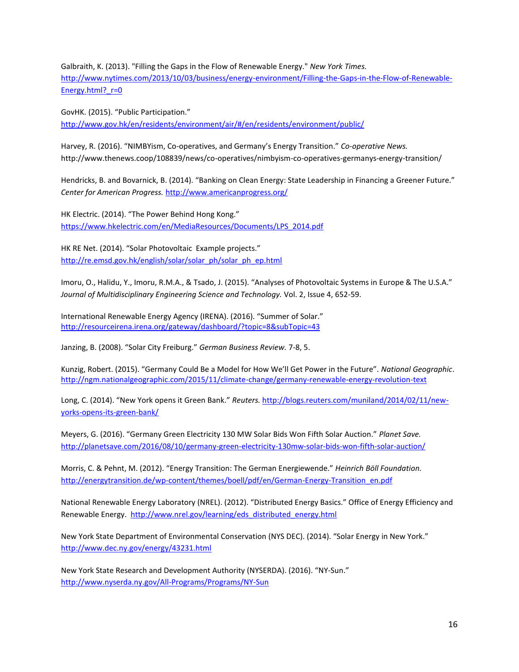Galbraith, K. (2013). "Filling the Gaps in the Flow of Renewable Energy." *New York Times.*  [http://www.nytimes.com/2013/10/03/business/energy-environment/Filling-the-Gaps-in-the-Flow-of-Renewable-](http://www.nytimes.com/2013/10/03/business/energy-environment/Filling-the-Gaps-in-the-Flow-of-Renewable-Energy.html?_r=0)Energy.html? r=0

GovHK. (2015). "Public Participation." <http://www.gov.hk/en/residents/environment/air/#/en/residents/environment/public/>

Harvey, R. (2016). "NIMBYism, Co-operatives, and Germany's Energy Transition." *Co-operative News.* http://www.thenews.coop/108839/news/co-operatives/nimbyism-co-operatives-germanys-energy-transition/

Hendricks, B. and Bovarnick, B. (2014). "Banking on Clean Energy: State Leadership in Financing a Greener Future." *Center for American Progress.* <http://www.americanprogress.org/>

HK Electric. (2014). "The Power Behind Hong Kong." [https://www.hkelectric.com/en/MediaResources/Documents/LPS\\_2014.pdf](https://www.hkelectric.com/en/MediaResources/Documents/LPS_2014.pdf)

HK RE Net. (2014). "Solar Photovoltaic Example projects." [http://re.emsd.gov.hk/english/solar/solar\\_ph/solar\\_ph\\_ep.html](http://re.emsd.gov.hk/english/solar/solar_ph/solar_ph_ep.html)

Imoru, O., Halidu, Y., Imoru, R.M.A., & Tsado, J. (2015). "Analyses of Photovoltaic Systems in Europe & The U.S.A." *Journal of Multidisciplinary Engineering Science and Technology.* Vol. 2, Issue 4, 652-59.

International Renewable Energy Agency (IRENA). (2016). "Summer of Solar." <http://resourceirena.irena.org/gateway/dashboard/?topic=8&subTopic=43>

Janzing, B. (2008). "Solar City Freiburg." *German Business Review.* 7-8, 5.

Kunzig, Robert. (2015). "Germany Could Be a Model for How We'll Get Power in the Future". *National Geographic*. <http://ngm.nationalgeographic.com/2015/11/climate-change/germany-renewable-energy-revolution-text>

Long, C. (2014). "New York opens it Green Bank." *Reuters.* [http://blogs.reuters.com/muniland/2014/02/11/new](http://blogs.reuters.com/muniland/2014/02/11/new-yorks-opens-its-green-bank/)[yorks-opens-its-green-bank/](http://blogs.reuters.com/muniland/2014/02/11/new-yorks-opens-its-green-bank/)

Meyers, G. (2016). "Germany Green Electricity 130 MW Solar Bids Won Fifth Solar Auction." *Planet Save.*  <http://planetsave.com/2016/08/10/germany-green-electricity-130mw-solar-bids-won-fifth-solar-auction/>

Morris, C. & Pehnt, M. (2012). "Energy Transition: The German Energiewende." *Heinrich Böll Foundation.* [http://energytransition.de/wp-content/themes/boell/pdf/en/German-Energy-Transition\\_en.pdf](http://energytransition.de/wp-content/themes/boell/pdf/en/German-Energy-Transition_en.pdf)

National Renewable Energy Laboratory (NREL). (2012). "Distributed Energy Basics." Office of Energy Efficiency and Renewable Energy. [http://www.nrel.gov/learning/eds\\_distributed\\_energy.html](http://www.nrel.gov/learning/eds_distributed_energy.html)

New York State Department of Environmental Conservation (NYS DEC). (2014). "Solar Energy in New York." <http://www.dec.ny.gov/energy/43231.html>

New York State Research and Development Authority (NYSERDA). (2016). "NY-Sun." <http://www.nyserda.ny.gov/All-Programs/Programs/NY-Sun>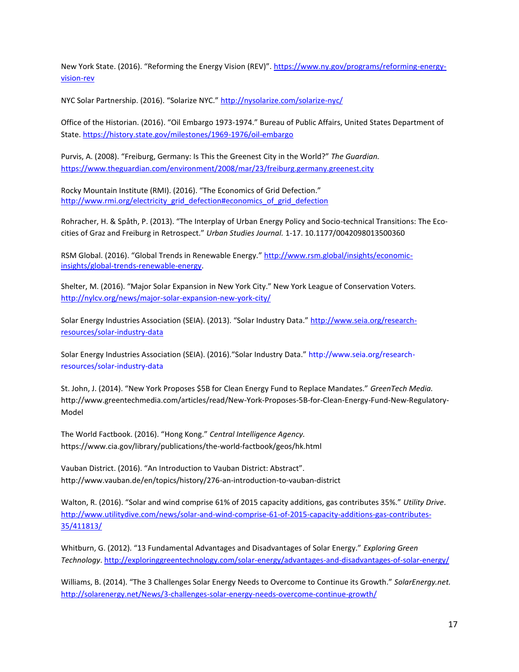New York State. (2016). "Reforming the Energy Vision (REV)". [https://www.ny.gov/programs/reforming-energy](https://www.ny.gov/programs/reforming-energy-vision-rev)[vision-rev](https://www.ny.gov/programs/reforming-energy-vision-rev)

NYC Solar Partnership. (2016). "Solarize NYC." <http://nysolarize.com/solarize-nyc/>

Office of the Historian. (2016). "Oil Embargo 1973-1974." Bureau of Public Affairs, United States Department of State.<https://history.state.gov/milestones/1969-1976/oil-embargo>

Purvis, A. (2008). "Freiburg, Germany: Is This the Greenest City in the World?" *The Guardian.*  <https://www.theguardian.com/environment/2008/mar/23/freiburg.germany.greenest.city>

Rocky Mountain Institute (RMI). (2016). "The Economics of Grid Defection." [http://www.rmi.org/electricity\\_grid\\_defection#economics\\_of\\_grid\\_defection](http://www.rmi.org/electricity_grid_defection#economics_of_grid_defection)

Rohracher, H. & Spåth, P. (2013). "The Interplay of Urban Energy Policy and Socio-technical Transitions: The Ecocities of Graz and Freiburg in Retrospect." *Urban Studies Journal.* 1-17. 10.1177/0042098013500360

RSM Global. (2016). "Global Trends in Renewable Energy." [http://www.rsm.global/insights/economic](http://www.rsm.global/insights/economic-insights/global-trends-renewable-energy)[insights/global-trends-renewable-energy.](http://www.rsm.global/insights/economic-insights/global-trends-renewable-energy)

Shelter, M. (2016). "Major Solar Expansion in New York City." New York League of Conservation Voters. <http://nylcv.org/news/major-solar-expansion-new-york-city/>

Solar Energy Industries Association (SEIA). (2013). "Solar Industry Data." [http://www.seia.org/research](http://www.seia.org/research-resources/solar-industry-data)[resources/solar-industry-data](http://www.seia.org/research-resources/solar-industry-data)

Solar Energy Industries Association (SEIA). (2016)."Solar Industry Data." [http://www.seia.org/research](http://www.seia.org/research-resources/solar-industry-data)[resources/solar-industry-data](http://www.seia.org/research-resources/solar-industry-data)

St. John, J. (2014). "New York Proposes \$5B for Clean Energy Fund to Replace Mandates." *GreenTech Media.*  http://www.greentechmedia.com/articles/read/New-York-Proposes-5B-for-Clean-Energy-Fund-New-Regulatory-Model

The World Factbook. (2016). "Hong Kong." *Central Intelligence Agency.* https://www.cia.gov/library/publications/the-world-factbook/geos/hk.html

Vauban District. (2016). "An Introduction to Vauban District: Abstract". http://www.vauban.de/en/topics/history/276-an-introduction-to-vauban-district

Walton, R. (2016). "Solar and wind comprise 61% of 2015 capacity additions, gas contributes 35%." *Utility Drive*. [http://www.utilitydive.com/news/solar-and-wind-comprise-61-of-2015-capacity-additions-gas-contributes-](http://www.utilitydive.com/news/solar-and-wind-comprise-61-of-2015-capacity-additions-gas-contributes-35/411813/)[35/411813/](http://www.utilitydive.com/news/solar-and-wind-comprise-61-of-2015-capacity-additions-gas-contributes-35/411813/)

Whitburn, G. (2012). "13 Fundamental Advantages and Disadvantages of Solar Energy." *Exploring Green Technology*.<http://exploringgreentechnology.com/solar-energy/advantages-and-disadvantages-of-solar-energy/>

Williams, B. (2014). "The 3 Challenges Solar Energy Needs to Overcome to Continue its Growth." *SolarEnergy.net.*  <http://solarenergy.net/News/3-challenges-solar-energy-needs-overcome-continue-growth/>